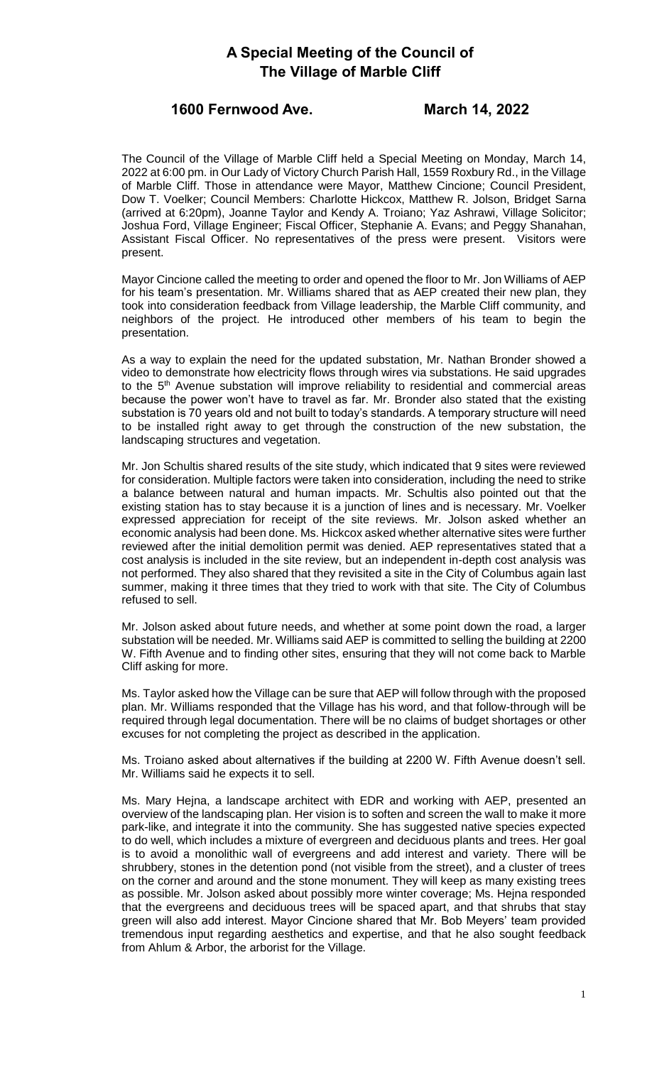## **A Special Meeting of the Council of The Village of Marble Cliff**

### **1600 Fernwood Ave. March 14, 2022**

The Council of the Village of Marble Cliff held a Special Meeting on Monday, March 14, 2022 at 6:00 pm. in Our Lady of Victory Church Parish Hall, 1559 Roxbury Rd., in the Village of Marble Cliff. Those in attendance were Mayor, Matthew Cincione; Council President, Dow T. Voelker; Council Members: Charlotte Hickcox, Matthew R. Jolson, Bridget Sarna (arrived at 6:20pm), Joanne Taylor and Kendy A. Troiano; Yaz Ashrawi, Village Solicitor; Joshua Ford, Village Engineer; Fiscal Officer, Stephanie A. Evans; and Peggy Shanahan, Assistant Fiscal Officer. No representatives of the press were present. Visitors were present.

Mayor Cincione called the meeting to order and opened the floor to Mr. Jon Williams of AEP for his team's presentation. Mr. Williams shared that as AEP created their new plan, they took into consideration feedback from Village leadership, the Marble Cliff community, and neighbors of the project. He introduced other members of his team to begin the presentation.

As a way to explain the need for the updated substation, Mr. Nathan Bronder showed a video to demonstrate how electricity flows through wires via substations. He said upgrades to the 5<sup>th</sup> Avenue substation will improve reliability to residential and commercial areas because the power won't have to travel as far. Mr. Bronder also stated that the existing substation is 70 years old and not built to today's standards. A temporary structure will need to be installed right away to get through the construction of the new substation, the landscaping structures and vegetation.

Mr. Jon Schultis shared results of the site study, which indicated that 9 sites were reviewed for consideration. Multiple factors were taken into consideration, including the need to strike a balance between natural and human impacts. Mr. Schultis also pointed out that the existing station has to stay because it is a junction of lines and is necessary. Mr. Voelker expressed appreciation for receipt of the site reviews. Mr. Jolson asked whether an economic analysis had been done. Ms. Hickcox asked whether alternative sites were further reviewed after the initial demolition permit was denied. AEP representatives stated that a cost analysis is included in the site review, but an independent in-depth cost analysis was not performed. They also shared that they revisited a site in the City of Columbus again last summer, making it three times that they tried to work with that site. The City of Columbus refused to sell.

Mr. Jolson asked about future needs, and whether at some point down the road, a larger substation will be needed. Mr. Williams said AEP is committed to selling the building at 2200 W. Fifth Avenue and to finding other sites, ensuring that they will not come back to Marble Cliff asking for more.

Ms. Taylor asked how the Village can be sure that AEP will follow through with the proposed plan. Mr. Williams responded that the Village has his word, and that follow-through will be required through legal documentation. There will be no claims of budget shortages or other excuses for not completing the project as described in the application.

Ms. Troiano asked about alternatives if the building at 2200 W. Fifth Avenue doesn't sell. Mr. Williams said he expects it to sell.

Ms. Mary Hejna, a landscape architect with EDR and working with AEP, presented an overview of the landscaping plan. Her vision is to soften and screen the wall to make it more park-like, and integrate it into the community. She has suggested native species expected to do well, which includes a mixture of evergreen and deciduous plants and trees. Her goal is to avoid a monolithic wall of evergreens and add interest and variety. There will be shrubbery, stones in the detention pond (not visible from the street), and a cluster of trees on the corner and around and the stone monument. They will keep as many existing trees as possible. Mr. Jolson asked about possibly more winter coverage; Ms. Hejna responded that the evergreens and deciduous trees will be spaced apart, and that shrubs that stay green will also add interest. Mayor Cincione shared that Mr. Bob Meyers' team provided tremendous input regarding aesthetics and expertise, and that he also sought feedback from Ahlum & Arbor, the arborist for the Village.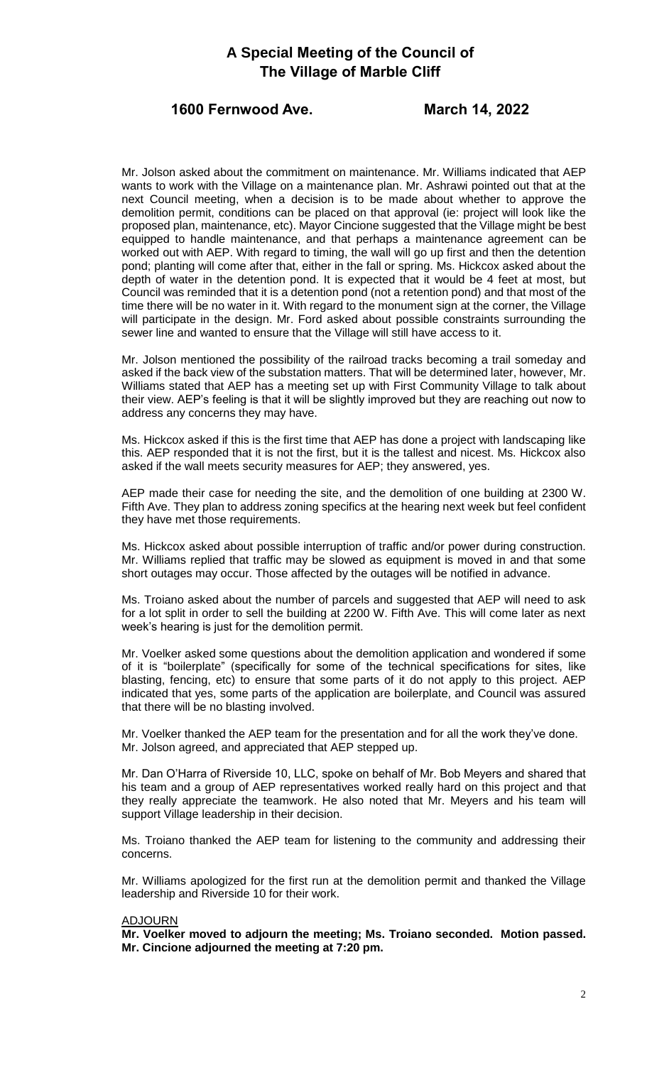## **A Special Meeting of the Council of The Village of Marble Cliff**

#### **1600 Fernwood Ave. March 14, 2022**

Mr. Jolson asked about the commitment on maintenance. Mr. Williams indicated that AEP wants to work with the Village on a maintenance plan. Mr. Ashrawi pointed out that at the next Council meeting, when a decision is to be made about whether to approve the demolition permit, conditions can be placed on that approval (ie: project will look like the proposed plan, maintenance, etc). Mayor Cincione suggested that the Village might be best equipped to handle maintenance, and that perhaps a maintenance agreement can be worked out with AEP. With regard to timing, the wall will go up first and then the detention pond; planting will come after that, either in the fall or spring. Ms. Hickcox asked about the depth of water in the detention pond. It is expected that it would be 4 feet at most, but Council was reminded that it is a detention pond (not a retention pond) and that most of the time there will be no water in it. With regard to the monument sign at the corner, the Village will participate in the design. Mr. Ford asked about possible constraints surrounding the sewer line and wanted to ensure that the Village will still have access to it.

Mr. Jolson mentioned the possibility of the railroad tracks becoming a trail someday and asked if the back view of the substation matters. That will be determined later, however, Mr. Williams stated that AEP has a meeting set up with First Community Village to talk about their view. AEP's feeling is that it will be slightly improved but they are reaching out now to address any concerns they may have.

Ms. Hickcox asked if this is the first time that AEP has done a project with landscaping like this. AEP responded that it is not the first, but it is the tallest and nicest. Ms. Hickcox also asked if the wall meets security measures for AEP; they answered, yes.

AEP made their case for needing the site, and the demolition of one building at 2300 W. Fifth Ave. They plan to address zoning specifics at the hearing next week but feel confident they have met those requirements.

Ms. Hickcox asked about possible interruption of traffic and/or power during construction. Mr. Williams replied that traffic may be slowed as equipment is moved in and that some short outages may occur. Those affected by the outages will be notified in advance.

Ms. Troiano asked about the number of parcels and suggested that AEP will need to ask for a lot split in order to sell the building at 2200 W. Fifth Ave. This will come later as next week's hearing is just for the demolition permit.

Mr. Voelker asked some questions about the demolition application and wondered if some of it is "boilerplate" (specifically for some of the technical specifications for sites, like blasting, fencing, etc) to ensure that some parts of it do not apply to this project. AEP indicated that yes, some parts of the application are boilerplate, and Council was assured that there will be no blasting involved.

Mr. Voelker thanked the AEP team for the presentation and for all the work they've done. Mr. Jolson agreed, and appreciated that AEP stepped up.

Mr. Dan O'Harra of Riverside 10, LLC, spoke on behalf of Mr. Bob Meyers and shared that his team and a group of AEP representatives worked really hard on this project and that they really appreciate the teamwork. He also noted that Mr. Meyers and his team will support Village leadership in their decision.

Ms. Troiano thanked the AEP team for listening to the community and addressing their concerns.

Mr. Williams apologized for the first run at the demolition permit and thanked the Village leadership and Riverside 10 for their work.

#### ADJOURN

**Mr. Voelker moved to adjourn the meeting; Ms. Troiano seconded. Motion passed. Mr. Cincione adjourned the meeting at 7:20 pm.**